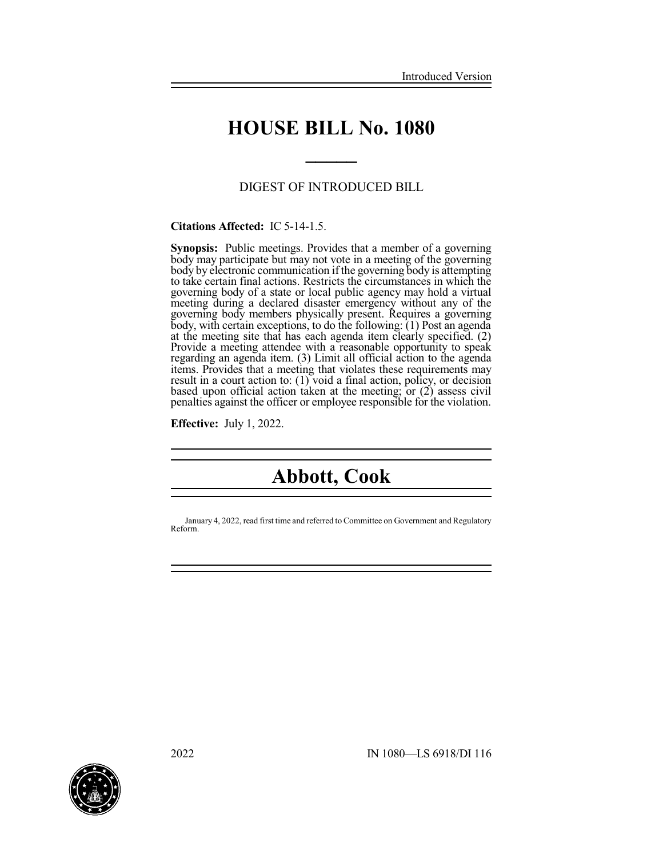# **HOUSE BILL No. 1080**

**\_\_\_\_\_**

### DIGEST OF INTRODUCED BILL

### **Citations Affected:** IC 5-14-1.5.

**Synopsis:** Public meetings. Provides that a member of a governing body may participate but may not vote in a meeting of the governing body by electronic communication if the governing body is attempting to take certain final actions. Restricts the circumstances in which the governing body of a state or local public agency may hold a virtual meeting during a declared disaster emergency without any of the governing body members physically present. Requires a governing body, with certain exceptions, to do the following: (1) Post an agenda at the meeting site that has each agenda item clearly specified. (2) Provide a meeting attendee with a reasonable opportunity to speak regarding an agenda item. (3) Limit all official action to the agenda items. Provides that a meeting that violates these requirements may result in a court action to: (1) void a final action, policy, or decision based upon official action taken at the meeting; or (2) assess civil penalties against the officer or employee responsible for the violation.

**Effective:** July 1, 2022.

# **Abbott, Cook**

January 4, 2022, read first time and referred to Committee on Government and Regulatory Reform.

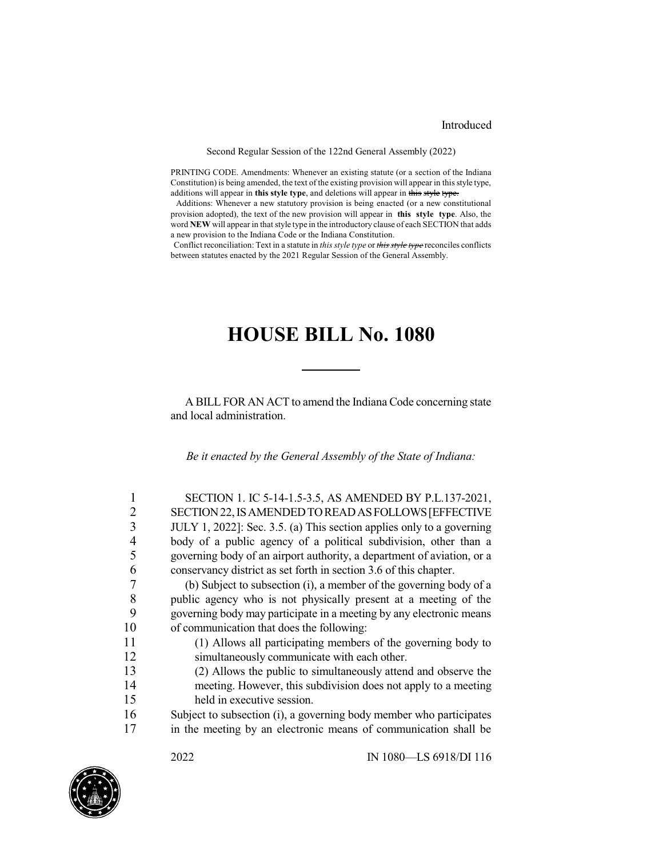### Introduced

#### Second Regular Session of the 122nd General Assembly (2022)

PRINTING CODE. Amendments: Whenever an existing statute (or a section of the Indiana Constitution) is being amended, the text of the existing provision will appear in this style type, additions will appear in **this style type**, and deletions will appear in this style type.

Additions: Whenever a new statutory provision is being enacted (or a new constitutional provision adopted), the text of the new provision will appear in **this style type**. Also, the word **NEW** will appear in that style type in the introductory clause of each SECTION that adds a new provision to the Indiana Code or the Indiana Constitution.

Conflict reconciliation: Text in a statute in *this style type* or *this style type* reconciles conflicts between statutes enacted by the 2021 Regular Session of the General Assembly.

## **HOUSE BILL No. 1080**

A BILL FOR AN ACT to amend the Indiana Code concerning state and local administration.

*Be it enacted by the General Assembly of the State of Indiana:*

| 1 | SECTION 1. IC 5-14-1.5-3.5, AS AMENDED BY P.L.137-2021,                |
|---|------------------------------------------------------------------------|
| 2 | SECTION 22, IS AMENDED TO READ AS FOLLOWS [EFFECTIVE                   |
| 3 | JULY 1, 2022]: Sec. 3.5. (a) This section applies only to a governing  |
| 4 | body of a public agency of a political subdivision, other than a       |
| 5 | governing body of an airport authority, a department of aviation, or a |
| 6 | conservancy district as set forth in section 3.6 of this chapter.      |
| 7 | (b) Subject to subsection (i), a member of the governing body of a     |
| 8 | public agency who is not physically present at a meeting of the        |
| Q | coverning body may participate in a meeting by any electronic means    |

9 governing body may participate in a meeting by any electronic means 10 of communication that does the following:

11 (1) Allows all participating members of the governing body to 12 simultaneously communicate with each other.

13 (2) Allows the public to simultaneously attend and observe the 14 meeting. However, this subdivision does not apply to a meeting 15 held in executive session.

16 Subject to subsection (i), a governing body member who participates 17 in the meeting by an electronic means of communication shall be

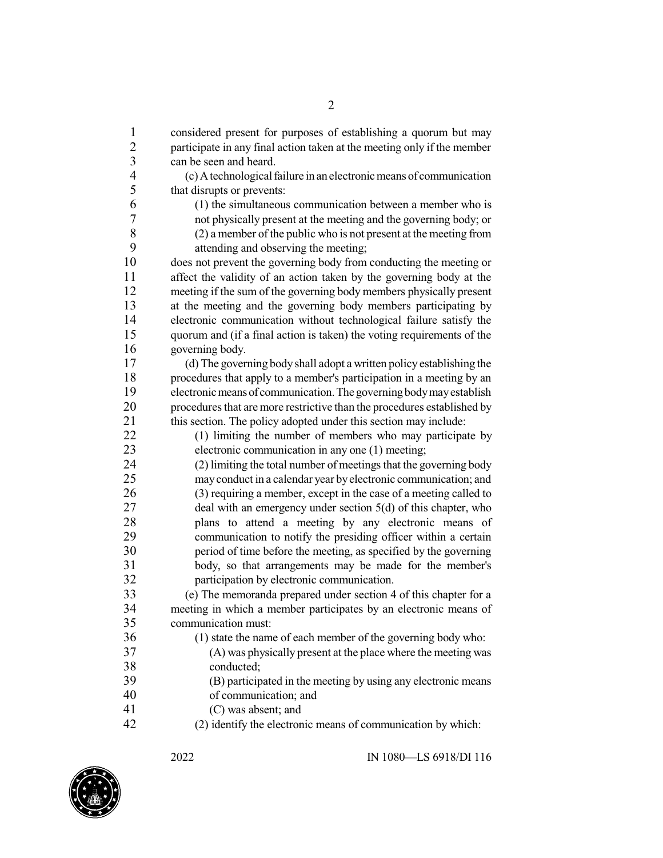1 considered present for purposes of establishing a quorum but may 2 participate in any final action taken at the meeting only if the member<br>3 can be seen and heard. can be seen and heard. 4 (c)Atechnologicalfailure in an electronicmeans of communication 5 that disrupts or prevents:<br>6 (1) the simultaneous  $(1)$  the simultaneous communication between a member who is 7 not physically present at the meeting and the governing body; or (2) a member of the public who is not present at the meeting from 8 (2) a member of the public who is not present at the meeting from<br>9  $\alpha$  attending and observing the meeting 9 attending and observing the meeting;<br>10 does not prevent the governing body from does not prevent the governing body from conducting the meeting or 11 affect the validity of an action taken by the governing body at the 12 meeting if the sum of the governing body members physically present<br>13 at the meeting and the governing body members participating by at the meeting and the governing body members participating by 14 electronic communication without technological failure satisfy the 15 quorum and (if a final action is taken) the voting requirements of the 16 governing body. 17 (d) The governing body shall adopt a written policy establishing the procedures that apply to a member's participation in a meeting by an procedures that apply to a member's participation in a meeting by an 19 electronic means of communication. The governing body may establish 20 procedures that are more restrictive than the procedures established by 21 this section. The policy adopted under this section may include:<br>22 (1) limiting the number of members who may participal  $(1)$  limiting the number of members who may participate by 23 electronic communication in any one (1) meeting; 24 (2) limiting the total number of meetings that the governing body 25 mayconduct in a calendar year byelectronic communication; and 26 (3) requiring a member, except in the case of a meeting called to 27 deal with an emergency under section 5(d) of this chapter, who 28 plans to attend a meeting by any electronic means of communication to notify the presiding officer within a certain communication to notify the presiding officer within a certain 30 period of time before the meeting, as specified by the governing 31 body, so that arrangements may be made for the member's 32 participation by electronic communication. 33 (e) The memoranda prepared under section 4 of this chapter for a<br>34 meeting in which a member participates by an electronic means of 34 meeting in which a member participates by an electronic means of communication must: communication must: 36 (1) state the name of each member of the governing body who: 37 (A) was physically present at the place where the meeting was 38 conducted;<br>39 (B) particip 39 (B) participated in the meeting by using any electronic means 40 of communication; and 41 (C) was absent; and 42 (2) identify the electronic means of communication by which:

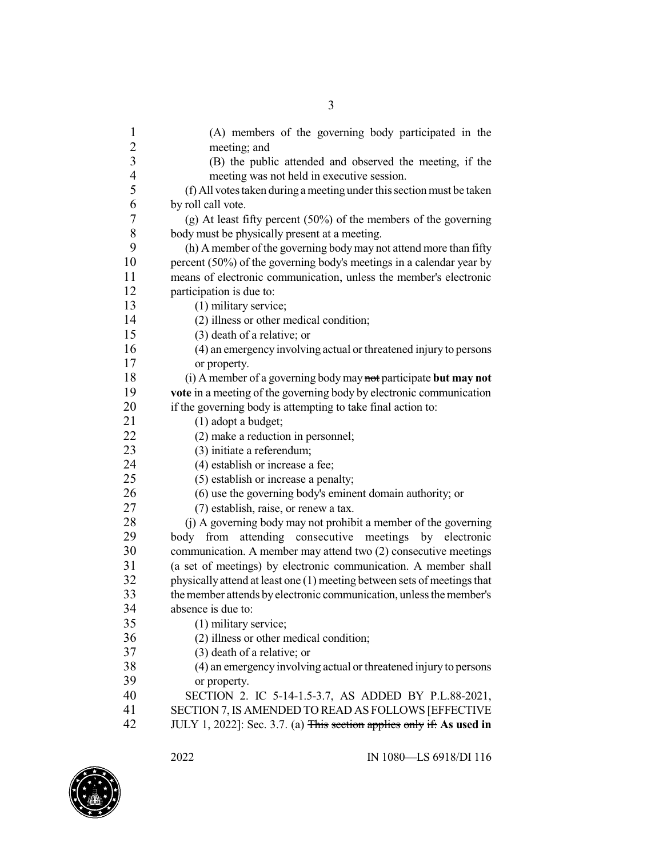| $\mathbf{1}$             | (A) members of the governing body participated in the                                                                        |
|--------------------------|------------------------------------------------------------------------------------------------------------------------------|
|                          | meeting; and                                                                                                                 |
| $\frac{2}{3}$            | (B) the public attended and observed the meeting, if the                                                                     |
| $\overline{\mathcal{A}}$ | meeting was not held in executive session.                                                                                   |
| 5                        | (f) All votes taken during a meeting under this section must be taken                                                        |
| 6                        | by roll call vote.                                                                                                           |
| $\boldsymbol{7}$         | (g) At least fifty percent $(50\%)$ of the members of the governing                                                          |
| 8                        | body must be physically present at a meeting.                                                                                |
| 9                        | (h) A member of the governing body may not attend more than fifty                                                            |
| 10                       | percent (50%) of the governing body's meetings in a calendar year by                                                         |
| 11                       | means of electronic communication, unless the member's electronic                                                            |
| 12                       | participation is due to:                                                                                                     |
| 13                       | (1) military service;                                                                                                        |
| 14                       | (2) illness or other medical condition;                                                                                      |
| 15                       | (3) death of a relative; or                                                                                                  |
| 16                       | (4) an emergency involving actual or threatened injury to persons                                                            |
| 17                       | or property.                                                                                                                 |
| 18                       | (i) A member of a governing body may not participate but may not                                                             |
| 19                       | vote in a meeting of the governing body by electronic communication                                                          |
| 20                       | if the governing body is attempting to take final action to:                                                                 |
| 21                       | $(1)$ adopt a budget;                                                                                                        |
| 22                       | (2) make a reduction in personnel;                                                                                           |
| 23                       | (3) initiate a referendum;                                                                                                   |
| 24                       | (4) establish or increase a fee;                                                                                             |
|                          |                                                                                                                              |
| 25                       | (5) establish or increase a penalty;                                                                                         |
| 26                       | (6) use the governing body's eminent domain authority; or                                                                    |
| 27                       | (7) establish, raise, or renew a tax.                                                                                        |
| 28                       | (j) A governing body may not prohibit a member of the governing                                                              |
| 29                       | attending consecutive<br>meetings<br>from<br>by electronic<br>body                                                           |
| 30                       | communication. A member may attend two (2) consecutive meetings                                                              |
| 31                       | (a set of meetings) by electronic communication. A member shall                                                              |
| 32                       | physically attend at least one (1) meeting between sets of meetings that                                                     |
| 33                       | the member attends by electronic communication, unless the member's                                                          |
| 34                       | absence is due to:                                                                                                           |
| 35                       | (1) military service;                                                                                                        |
| 36                       | (2) illness or other medical condition;                                                                                      |
| 37                       | (3) death of a relative; or                                                                                                  |
| 38                       | (4) an emergency involving actual or threatened injury to persons                                                            |
| 39                       | or property.                                                                                                                 |
| 40                       | SECTION 2. IC 5-14-1.5-3.7, AS ADDED BY P.L.88-2021,                                                                         |
| 41<br>42                 | SECTION 7, IS AMENDED TO READ AS FOLLOWS [EFFECTIVE<br>JULY 1, 2022]: Sec. 3.7. (a) This section applies only if: As used in |

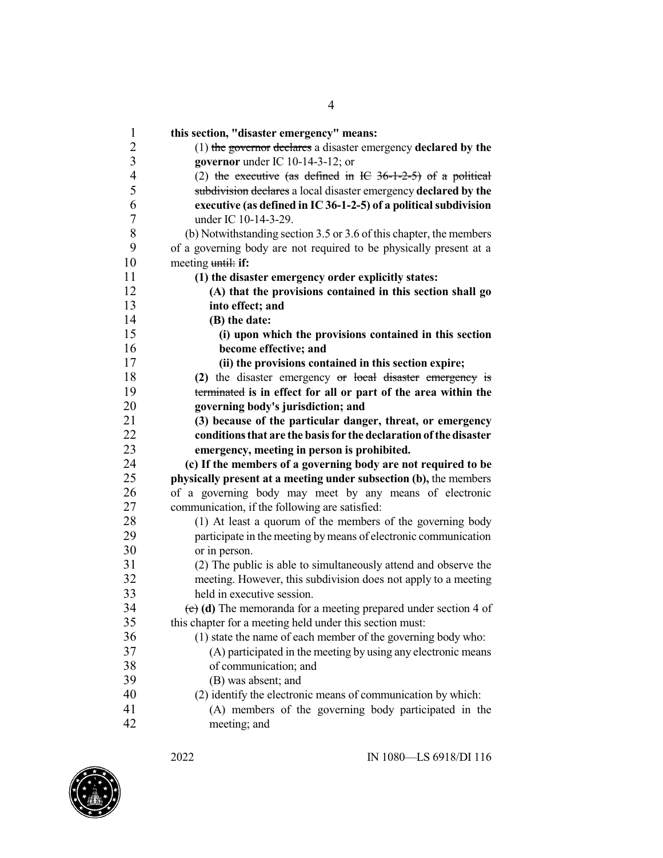| $\mathbf{1}$             | this section, "disaster emergency" means:                           |
|--------------------------|---------------------------------------------------------------------|
| $\overline{2}$           | $(1)$ the governor declares a disaster emergency declared by the    |
| 3                        | governor under IC 10-14-3-12; or                                    |
| $\overline{\mathcal{L}}$ | (2) the executive (as defined in IC $36-1-2-5$ ) of a political     |
| 5                        | subdivision declares a local disaster emergency declared by the     |
| 6                        | executive (as defined in IC 36-1-2-5) of a political subdivision    |
| 7                        | under IC 10-14-3-29.                                                |
| 8                        | (b) Notwithstanding section 3.5 or 3.6 of this chapter, the members |
| 9                        | of a governing body are not required to be physically present at a  |
| 10                       | meeting until: if:                                                  |
| 11                       | (1) the disaster emergency order explicitly states:                 |
| 12                       | (A) that the provisions contained in this section shall go          |
| 13                       | into effect; and                                                    |
| 14                       | (B) the date:                                                       |
| 15                       | (i) upon which the provisions contained in this section             |
| 16                       | become effective; and                                               |
| 17                       | (ii) the provisions contained in this section expire;               |
| 18                       | (2) the disaster emergency or local disaster emergency is           |
| 19                       | terminated is in effect for all or part of the area within the      |
| 20                       | governing body's jurisdiction; and                                  |
| 21                       | (3) because of the particular danger, threat, or emergency          |
| 22                       | conditions that are the basis for the declaration of the disaster   |
| 23                       | emergency, meeting in person is prohibited.                         |
| 24                       | (c) If the members of a governing body are not required to be       |
| 25                       | physically present at a meeting under subsection (b), the members   |
| 26                       | of a governing body may meet by any means of electronic             |
| 27                       | communication, if the following are satisfied:                      |
| 28                       | (1) At least a quorum of the members of the governing body          |
| 29                       | participate in the meeting by means of electronic communication     |
| 30                       | or in person.                                                       |
| 31                       | (2) The public is able to simultaneously attend and observe the     |
| 32                       | meeting. However, this subdivision does not apply to a meeting      |
| 33                       | held in executive session.                                          |
| 34                       | (c) (d) The memoranda for a meeting prepared under section 4 of     |
| 35                       | this chapter for a meeting held under this section must:            |
| 36                       | (1) state the name of each member of the governing body who:        |
| 37                       | (A) participated in the meeting by using any electronic means       |
| 38                       | of communication; and                                               |
| 39                       | (B) was absent; and                                                 |
| 40                       | (2) identify the electronic means of communication by which:        |
| 41                       | (A) members of the governing body participated in the               |
| 42                       | meeting; and                                                        |

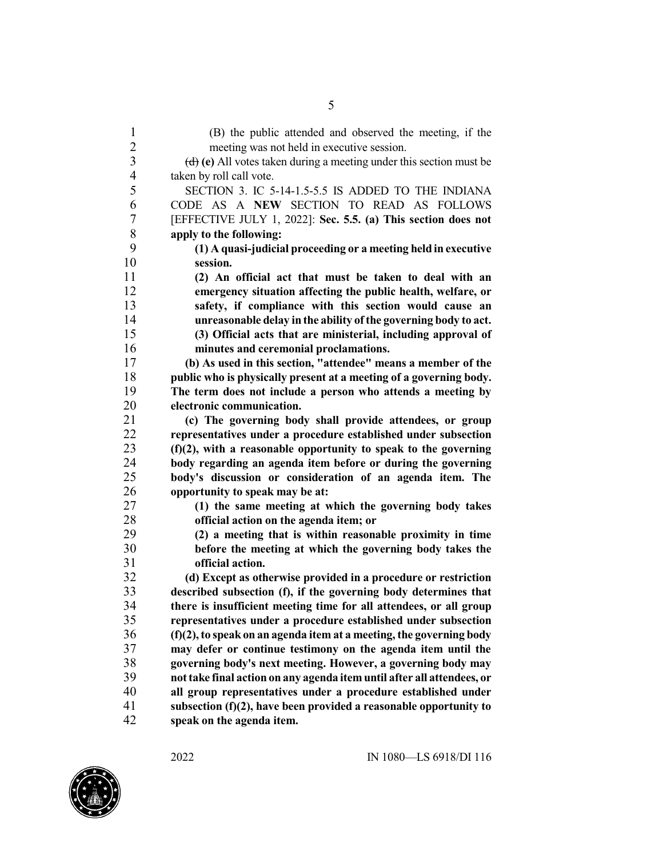(B) the public attended and observed the meeting, if the meeting was not held in executive session. (d) **(e)** All votes taken during a meeting under this section must be taken by roll call vote. SECTION 3. IC 5-14-1.5-5.5 IS ADDED TO THE INDIANA CODE AS A **NEW** SECTION TO READ AS FOLLOWS [EFFECTIVE JULY 1, 2022]: **Sec. 5.5. (a) This section does not apply to the following: (1) A quasi-judicial proceeding or a meeting held in executive session. (2) An official act that must be taken to deal with an emergency situation affecting the public health, welfare, or safety, if compliance with this section would cause an unreasonable delay in the ability ofthe governing body to act. (3) Official acts that are ministerial, including approval of minutes and ceremonial proclamations. (b) As used in this section, "attendee" means a member of the public who is physically present at a meeting of a governing body. The term does not include a person who attends a meeting by electronic communication.**<br>21 **c**) The governing bod **(c) The governing body shall provide attendees, or group representatives under a procedure established under subsection (f)(2), with a reasonable opportunity to speak to the governing body regarding an agenda item before or during the governing body's discussion or consideration of an agenda item. The opportunity to speak may be at: (1) the same meeting at which the governing body takes official action on the agenda item; or (2) a meeting that is within reasonable proximity in time before the meeting at which the governing body takes the official action. (d) Except as otherwise provided in a procedure or restriction described subsection (f), if the governing body determines that there is insufficient meeting time for all attendees, or all group representatives under a procedure established under subsection (f)(2),to speak on an agenda item at a meeting, the governing body may defer or continue testimony on the agenda item until the governing body's next meeting. However, a governing body may nottake final action on any agenda item until after all attendees, or all group representatives under a procedure established under subsection (f)(2), have been provided a reasonable opportunity to speak on the agenda item.**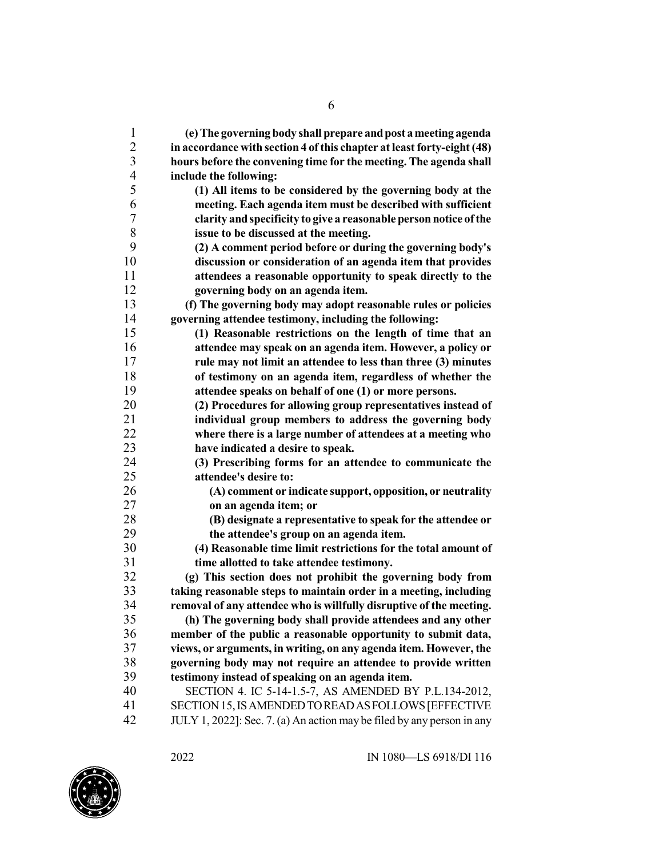| 1              | (e) The governing body shall prepare and post a meeting agenda         |
|----------------|------------------------------------------------------------------------|
| $\overline{2}$ | in accordance with section 4 of this chapter at least forty-eight (48) |
| $\overline{3}$ | hours before the convening time for the meeting. The agenda shall      |
| $\overline{4}$ | include the following:                                                 |
| 5              | (1) All items to be considered by the governing body at the            |
| 6              | meeting. Each agenda item must be described with sufficient            |
| 7              | clarity and specificity to give a reasonable person notice of the      |
| 8              | issue to be discussed at the meeting.                                  |
| 9              | (2) A comment period before or during the governing body's             |
| 10             | discussion or consideration of an agenda item that provides            |
| 11             | attendees a reasonable opportunity to speak directly to the            |
| 12             | governing body on an agenda item.                                      |
| 13             | (f) The governing body may adopt reasonable rules or policies          |
| 14             | governing attendee testimony, including the following:                 |
| 15             | (1) Reasonable restrictions on the length of time that an              |
| 16             | attendee may speak on an agenda item. However, a policy or             |
| 17             | rule may not limit an attendee to less than three (3) minutes          |
| 18             | of testimony on an agenda item, regardless of whether the              |
| 19             | attendee speaks on behalf of one (1) or more persons.                  |
| 20             | (2) Procedures for allowing group representatives instead of           |
| 21             | individual group members to address the governing body                 |
| 22             | where there is a large number of attendees at a meeting who            |
| 23             | have indicated a desire to speak.                                      |
| 24             | (3) Prescribing forms for an attendee to communicate the               |
| 25             | attendee's desire to:                                                  |
| 26             | (A) comment or indicate support, opposition, or neutrality             |
| 27             | on an agenda item; or                                                  |
| 28             | (B) designate a representative to speak for the attendee or            |
| 29             | the attendee's group on an agenda item.                                |
| 30             | (4) Reasonable time limit restrictions for the total amount of         |
| 31             | time allotted to take attendee testimony.                              |
| 32             | (g) This section does not prohibit the governing body from             |
| 33             | taking reasonable steps to maintain order in a meeting, including      |
| 34             | removal of any attendee who is willfully disruptive of the meeting.    |
| 35             | (h) The governing body shall provide attendees and any other           |
| 36             | member of the public a reasonable opportunity to submit data,          |
| 37             | views, or arguments, in writing, on any agenda item. However, the      |
| 38             | governing body may not require an attendee to provide written          |
| 39             | testimony instead of speaking on an agenda item.                       |
| 40             | SECTION 4. IC 5-14-1.5-7, AS AMENDED BY P.L.134-2012,                  |
| 41             | SECTION 15, IS AMENDED TO READ AS FOLLOWS [EFFECTIVE                   |
| 42             | JULY 1, 2022]: Sec. 7. (a) An action may be filed by any person in any |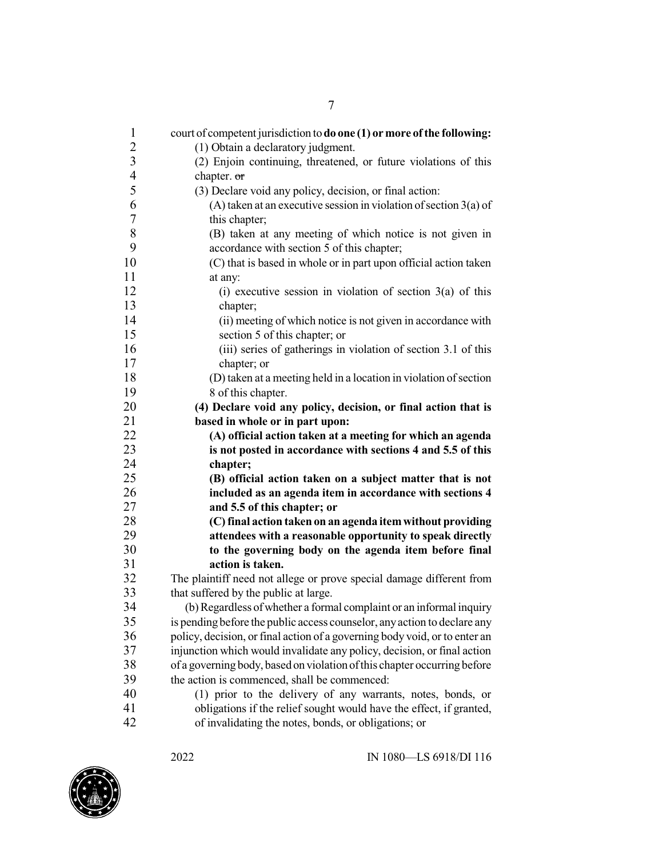| $\mathbf{1}$<br>$\overline{2}$ | court of competent jurisdiction to do one (1) or more of the following:<br>(1) Obtain a declaratory judgment.               |
|--------------------------------|-----------------------------------------------------------------------------------------------------------------------------|
| $\overline{3}$                 | (2) Enjoin continuing, threatened, or future violations of this                                                             |
| $\overline{4}$                 | chapter. or                                                                                                                 |
| 5                              |                                                                                                                             |
| 6                              | (3) Declare void any policy, decision, or final action:                                                                     |
| 7                              | (A) taken at an executive session in violation of section $3(a)$ of<br>this chapter;                                        |
| 8                              | (B) taken at any meeting of which notice is not given in                                                                    |
| 9                              | accordance with section 5 of this chapter;                                                                                  |
| 10                             | (C) that is based in whole or in part upon official action taken                                                            |
| 11                             | at any:                                                                                                                     |
| 12                             | (i) executive session in violation of section $3(a)$ of this                                                                |
| 13                             | chapter;                                                                                                                    |
| 14                             | (ii) meeting of which notice is not given in accordance with                                                                |
| 15                             | section 5 of this chapter; or                                                                                               |
| 16                             | (iii) series of gatherings in violation of section 3.1 of this                                                              |
| 17                             | chapter; or                                                                                                                 |
| 18                             | (D) taken at a meeting held in a location in violation of section                                                           |
| 19                             | 8 of this chapter.                                                                                                          |
| 20                             | (4) Declare void any policy, decision, or final action that is                                                              |
| 21                             | based in whole or in part upon:                                                                                             |
|                                |                                                                                                                             |
|                                |                                                                                                                             |
| 22<br>23                       | (A) official action taken at a meeting for which an agenda<br>is not posted in accordance with sections 4 and 5.5 of this   |
| 24                             | chapter;                                                                                                                    |
| 25                             | (B) official action taken on a subject matter that is not                                                                   |
| 26                             | included as an agenda item in accordance with sections 4                                                                    |
| 27                             | and 5.5 of this chapter; or                                                                                                 |
| 28                             | (C) final action taken on an agenda item without providing                                                                  |
| 29                             | attendees with a reasonable opportunity to speak directly                                                                   |
| 30                             | to the governing body on the agenda item before final                                                                       |
| 31                             | action is taken.                                                                                                            |
| 32                             | The plaintiff need not allege or prove special damage different from                                                        |
| 33                             | that suffered by the public at large.                                                                                       |
| 34                             | (b) Regardless of whether a formal complaint or an informal inquiry                                                         |
| 35                             | is pending before the public access counselor, any action to declare any                                                    |
| 36                             | policy, decision, or final action of a governing body void, or to enter an                                                  |
| 37                             | injunction which would invalidate any policy, decision, or final action                                                     |
| 38                             | of a governing body, based on violation of this chapter occurring before                                                    |
| 39                             | the action is commenced, shall be commenced:                                                                                |
| 40                             | (1) prior to the delivery of any warrants, notes, bonds, or                                                                 |
| 41<br>42                       | obligations if the relief sought would have the effect, if granted,<br>of invalidating the notes, bonds, or obligations; or |

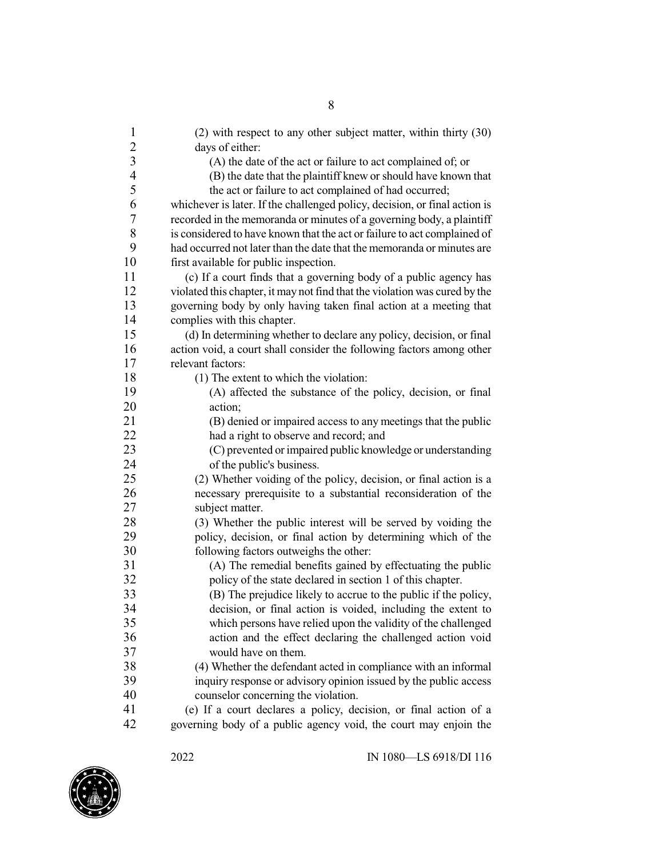| $\mathbf{1}$             | (2) with respect to any other subject matter, within thirty (30)           |
|--------------------------|----------------------------------------------------------------------------|
| $\overline{c}$           | days of either:                                                            |
| $\overline{3}$           | (A) the date of the act or failure to act complained of; or                |
| $\overline{\mathcal{L}}$ | (B) the date that the plaintiff knew or should have known that             |
| 5                        | the act or failure to act complained of had occurred;                      |
| 6                        | whichever is later. If the challenged policy, decision, or final action is |
| 7                        | recorded in the memoranda or minutes of a governing body, a plaintiff      |
| 8                        | is considered to have known that the act or failure to act complained of   |
| 9                        | had occurred not later than the date that the memoranda or minutes are     |
| 10                       | first available for public inspection.                                     |
| 11                       | (c) If a court finds that a governing body of a public agency has          |
| 12                       | violated this chapter, it may not find that the violation was cured by the |
| 13                       | governing body by only having taken final action at a meeting that         |
| 14                       | complies with this chapter.                                                |
| 15                       | (d) In determining whether to declare any policy, decision, or final       |
| 16                       | action void, a court shall consider the following factors among other      |
| 17                       | relevant factors:                                                          |
| 18                       | (1) The extent to which the violation:                                     |
| 19                       | (A) affected the substance of the policy, decision, or final               |
| 20                       | action:                                                                    |
| 21                       | (B) denied or impaired access to any meetings that the public              |
| 22                       | had a right to observe and record; and                                     |
| 23                       | (C) prevented or impaired public knowledge or understanding                |
| 24                       | of the public's business.                                                  |
| 25                       | (2) Whether voiding of the policy, decision, or final action is a          |
| 26                       | necessary prerequisite to a substantial reconsideration of the             |
| 27                       | subject matter.                                                            |
| 28                       | (3) Whether the public interest will be served by voiding the              |
| 29                       | policy, decision, or final action by determining which of the              |
| 30                       | following factors outweighs the other:                                     |
| 31                       | (A) The remedial benefits gained by effectuating the public                |
| 32                       | policy of the state declared in section 1 of this chapter.                 |
| 33                       | (B) The prejudice likely to accrue to the public if the policy,            |
| 34                       | decision, or final action is voided, including the extent to               |
| 35                       | which persons have relied upon the validity of the challenged              |
| 36                       | action and the effect declaring the challenged action void                 |
| 37                       | would have on them.                                                        |
| 38                       | (4) Whether the defendant acted in compliance with an informal             |
| 39                       | inquiry response or advisory opinion issued by the public access           |
| 40                       | counselor concerning the violation.                                        |
| 41                       | (e) If a court declares a policy, decision, or final action of a           |
| 42                       | governing body of a public agency void, the court may enjoin the           |

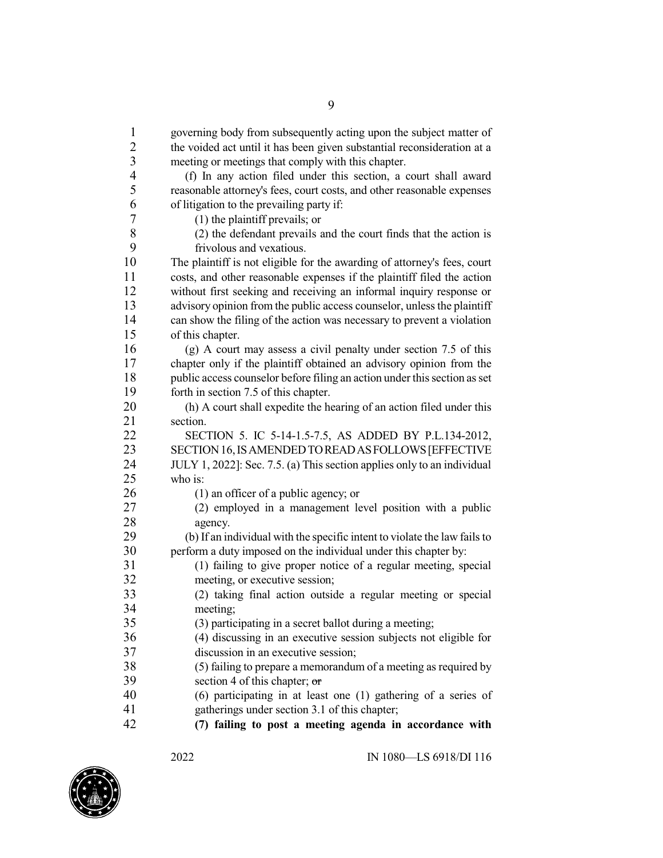governing body from subsequently acting upon the subject matter of the voided act until it has been given substantial reconsideration at a meeting or meetings that comply with this chapter. (f) In any action filed under this section, a court shall award 5 reasonable attorney's fees, court costs, and other reasonable expenses<br>6 of litigation to the prevailing party if: of litigation to the prevailing party if: 7 (1) the plaintiff prevails; or<br>8 (2) the defendant prevails a (2) the defendant prevails and the court finds that the action is<br>  $9$  frivolous and vexatious 9 frivolous and vexatious.<br>10 The plaintiff is not eligible form The plaintiff is not eligible for the awarding of attorney's fees, court costs, and other reasonable expenses if the plaintiff filed the action without first seeking and receiving an informal inquiry response or 13 advisory opinion from the public access counselor, unless the plaintiff can show the filing of the action was necessary to prevent a violation of this chapter. (g) A court may assess a civil penalty under section 7.5 of this chapter only if the plaintiff obtained an advisory opinion from the 18 public access counselor before filing an action under this section as set forth in section 7.5 of this chapter. (h) A court shall expedite the hearing of an action filed under this 21 section.<br>22 SEC SECTION 5. IC 5-14-1.5-7.5, AS ADDED BY P.L.134-2012, SECTION16,ISAMENDEDTOREADASFOLLOWS[EFFECTIVE JULY 1, 2022]: Sec. 7.5. (a) This section applies only to an individual who is: (1) an officer of a public agency; or (2) employed in a management level position with a public 28 agency.<br>29 (b) If an in 29 (b) If an individual with the specific intent to violate the law fails to perform a duty imposed on the individual under this chapter by: perform a duty imposed on the individual under this chapter by: (1) failing to give proper notice of a regular meeting, special meeting, or executive session; (2) taking final action outside a regular meeting or special 34 meeting;<br>35 (3) partic  $(3)$  participating in a secret ballot during a meeting; (4) discussing in an executive session subjects not eligible for discussion in an executive session; 38 (5) failing to prepare a memorandum of a meeting as required by<br>39 section 4 of this chanter:  $\sigma$ section 4 of this chapter;  $\sigma$  (6) participating in at least one (1) gathering of a series of gatherings under section 3.1 of this chapter;

**(7) failing to post a meeting agenda in accordance with**

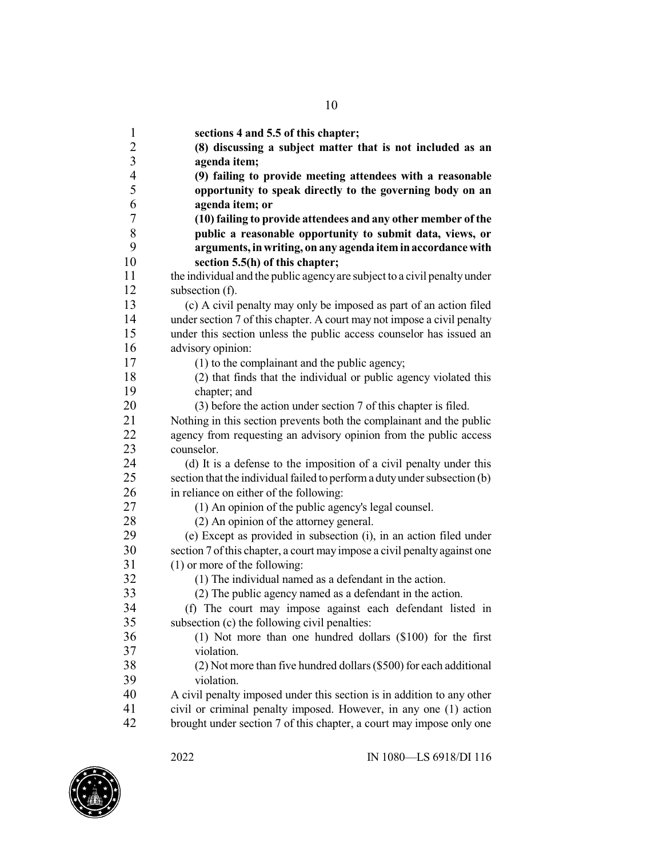**sections 4 and 5.5 of this chapter; (8) discussing a subject matter that is not included as an agenda item; (9) failing to provide meeting attendees with a reasonable opportunity to speak directly to the governing body on an agenda item; or (10) failing to provide attendees and any other member of the public a reasonable opportunity to submit data, views, or arguments, inwriting, on any agenda iteminaccordance with section 5.5(h) of this chapter;** the individual and the public agencyare subject to a civil penalty under subsection (f). (c) A civil penalty may only be imposed as part of an action filed 14 under section 7 of this chapter. A court may not impose a civil penalty under this section unless the public access counselor has issued an advisory opinion: (1) to the complainant and the public agency; (2) that finds that the individual or public agency violated this chapter; and (3) before the action under section 7 of this chapter is filed. Nothing in this section prevents both the complainant and the public 22 agency from requesting an advisory opinion from the public access counselor. 24 (d) It is a defense to the imposition of a civil penalty under this section that the individual failed to perform a duty under subsection (b) section that the individual failed to perform a duty under subsection (b) in reliance on either of the following: (1) An opinion of the public agency's legal counsel. (2) An opinion of the attorney general. (e) Except as provided in subsection (i), in an action filed under section 7 ofthis chapter, a court may impose a civil penalty against one (1) or more of the following: (1) The individual named as a defendant in the action. 33 (2) The public agency named as a defendant in the action.<br>34 (f) The court may impose against each defendant list (f) The court may impose against each defendant listed in subsection (c) the following civil penalties: (1) Not more than one hundred dollars (\$100) for the first violation. 38 (2) Not more than five hundred dollars (\$500) for each additional violation. violation. A civil penalty imposed under this section is in addition to any other civil or criminal penalty imposed. However, in any one (1) action brought under section 7 of this chapter, a court may impose only one